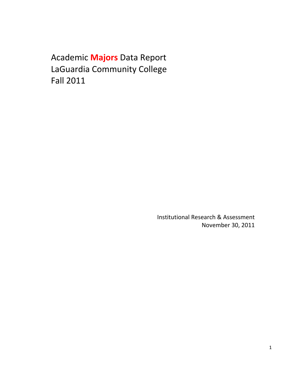Academic **Majors** Data Report LaGuardia Community College Fall 2011

> Institutional Research & Assessment November 30, 2011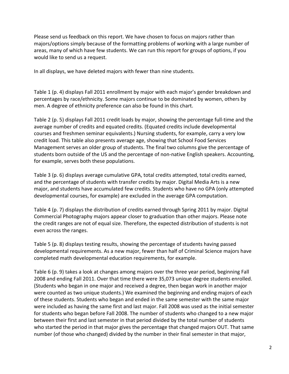Please send us feedback on this report. We have chosen to focus on majors rather than majors/options simply because of the formatting problems of working with a large number of areas, many of which have few students. We can run this report for groups of options, if you would like to send us a request.

In all displays, we have deleted majors with fewer than nine students.

 Table 1 (p. 4) displays Fall 2011 enrollment by major with each major's gender breakdown and percentages by race/ethnicity. Some majors continue to be dominated by women, others by men. A degree of ethnicity preference can also be found in this chart.

 Table 2 (p. 5) displays Fall 2011 credit loads by major, showing the percentage full‐time and the average number of credits and equated credits. (Equated credits include developmental courses and freshmen seminar equivalents.) Nursing students, for example, carry a very low credit load. This table also presents average age, showing that School Food Services Management serves an older group of students. The final two columns give the percentage of students born outside of the US and the percentage of non‐native English speakers. Accounting, for example, serves both these populations.

 Table 3 (p. 6) displays average cumulative GPA, total credits attempted, total credits earned, and the percentage of students with transfer credits by major. Digital Media Arts is a new major, and students have accumulated few credits. Students who have no GPA (only attempted developmental courses, for example) are excluded in the average GPA computation.

 Table 4 (p. 7) displays the distribution of credits earned through Spring 2011 by major. Digital Commercial Photography majors appear closer to graduation than other majors. Please note the credit ranges are not of equal size. Therefore, the expected distribution of students is not even across the ranges.

 Table 5 (p. 8) displays testing results, showing the percentage of students having passed developmental requirements. As a new major, fewer than half of Criminal Science majors have completed math developmental education requirements, for example.

 Table 6 (p. 9) takes a look at changes among majors over the three year period, beginning Fall 2008 and ending Fall 2011. Over that time there were 35,073 unique degree students enrolled. (Students who began in one major and received a degree, then began work in another major were counted as two unique students.) We examined the beginning and ending majors of each of these students. Students who began and ended in the same semester with the same major were included as having the same first and last major. Fall 2008 was used as the initial semester for students who began before Fall 2008. The number of students who changed to a new major between their first and last semester in that period divided by the total number of students who started the period in that major gives the percentage that changed majors OUT. That same number (of those who changed) divided by the number in their final semester in that major,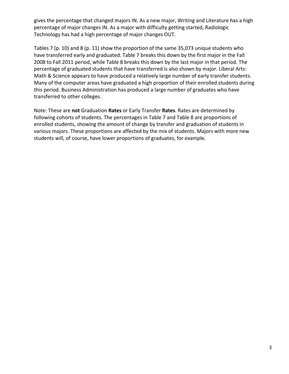gives the percentage that changed majors IN. As a new major, Writing and Literature has a high percentage of major changes IN. As a major with difficulty getting started, Radiologic Technology has had a high percentage of major changes OUT.

 Tables 7 (p. 10) and 8 (p. 11) show the proportion of the same 35,073 unique students who have transferred early and graduated. Table 7 breaks this down by the first major in the Fall 2008 to Fall 2011 period, while Table 8 breaks this down by the last major in that period. The percentage of graduated students that have transferred is also shown by major. Liberal Arts: Math & Science appears to have produced a relatively large number of early transfer students. Many of the computer areas have graduated a high proportion of their enrolled students during this period. Business Administration has produced a large number of graduates who have transferred to other colleges.

 Note: These are **not** Graduation **Rates** or Early Transfer **Rates**. Rates are determined by following cohorts of students. The percentages in Table 7 and Table 8 are proportions of enrolled students, showing the amount of change by transfer and graduation of students in various majors. These proportions are affected by the mix of students. Majors with more new students will, of course, have lower proportions of graduates, for example.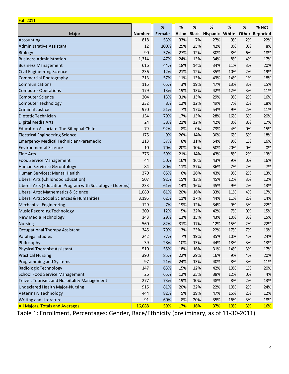| <b>Fall 2011</b>                                         |               |        |       |     |                             |     |    |                       |
|----------------------------------------------------------|---------------|--------|-------|-----|-----------------------------|-----|----|-----------------------|
|                                                          |               | %      | %     | %   | %                           | %   | %  | % Not                 |
| Major                                                    | <b>Number</b> | Female | Asian |     | <b>Black Hispanic White</b> |     |    | <b>Other Reported</b> |
| Accounting                                               | 818           | 53%    | 33%   | 7%  | 27%                         | 9%  | 2% | 22%                   |
| <b>Administrative Assistant</b>                          | 12            | 100%   | 25%   | 25% | 42%                         | 0%  | 0% | 8%                    |
| Biology                                                  | 90            | 57%    | 27%   | 12% | 30%                         | 8%  | 6% | 18%                   |
| <b>Business Administration</b>                           | 1,314         | 47%    | 24%   | 13% | 34%                         | 8%  | 4% | 17%                   |
| <b>Business Management</b>                               | 616           | 44%    | 18%   | 14% | 34%                         | 11% | 3% | 20%                   |
| <b>Civil Engineering Science</b>                         | 236           | 12%    | 21%   | 12% | 35%                         | 10% | 2% | 19%                   |
| <b>Commercial Photography</b>                            | 213           | 57%    | 11%   | 13% | 43%                         | 14% | 1% | 18%                   |
| Communications                                           | 116           | 65%    | 3%    | 19% | 47%                         | 13% | 3% | 15%                   |
| <b>Computer Operations</b>                               | 179           | 13%    | 19%   | 13% | 42%                         | 12% | 3% | 11%                   |
| <b>Computer Science</b>                                  | 204           | 13%    | 31%   | 13% | 29%                         | 9%  | 2% | 16%                   |
| <b>Computer Technology</b>                               | 232           | 8%     | 12%   | 12% | 49%                         | 7%  | 2% | 18%                   |
| <b>Criminal Justice</b>                                  | 970           | 51%    | 7%    | 17% | 54%                         | 9%  | 2% | 11%                   |
| Dietetic Technician                                      | 134           | 79%    | 17%   | 13% | 28%                         | 16% | 5% | 20%                   |
| Digital Media Arts                                       | 24            | 38%    | 21%   | 12% | 42%                         | 0%  | 8% | 17%                   |
| Education Associate-The Bilingual Child                  | 79            | 92%    | 8%    | 0%  | 73%                         | 4%  | 0% | 15%                   |
| <b>Electrical Engineering Science</b>                    | 175           | 9%     | 26%   | 14% | 30%                         | 6%  | 5% | 18%                   |
| Emergency Medical Technician/Paramedic                   | 213           | 37%    | 8%    | 11% | 54%                         | 9%  | 1% | 16%                   |
| <b>Environmental Science</b>                             | 10            | 70%    | 20%   | 10% | 50%                         | 20% | 0% | 0%                    |
| <b>Fine Arts</b>                                         | 376           | 59%    | 21%   | 14% | 43%                         | 8%  | 2% | 13%                   |
| <b>Food Service Management</b>                           | 44            | 50%    | 16%   | 16% | 43%                         | 9%  | 0% | 16%                   |
| Human Services: Gerontology                              | 84            | 80%    | 11%   | 37% | 36%                         | 7%  | 2% | 7%                    |
| Human Services: Mental Health                            | 370           | 85%    | 6%    | 26% | 43%                         | 9%  | 2% | 13%                   |
| Liberal Arts (Childhood Education)                       | 507           | 92%    | 15%   | 13% | 45%                         | 12% | 3% | 12%                   |
| Liberal Arts (Education Program with Sociology - Queens) | 233           | 61%    | 14%   | 16% | 45%                         | 9%  | 2% | 13%                   |
| Liberal Arts: Mathematics & Science                      | 1,080         | 61%    | 20%   | 16% | 33%                         | 11% | 4% | 17%                   |
| Liberal Arts: Social Sciences & Humanities               | 3,195         | 62%    | 11%   | 17% | 44%                         | 11% | 2% | 14%                   |
| <b>Mechanical Engineering</b>                            | 129           | 7%     | 19%   | 12% | 34%                         | 9%  | 3% | 22%                   |
| <b>Music Recording Technology</b>                        | 209           | 12%    | 5%    | 32% | 42%                         | 7%  | 0% | 15%                   |
| New Media Technology                                     | 143           | 29%    | 13%   | 15% | 43%                         | 10% | 3% | 15%                   |
| <b>Nursing</b>                                           | 560           | 82%    | 31%   | 17% | 12%                         | 15% | 2% | 22%                   |
| <b>Occupational Therapy Assistant</b>                    | 345           | 79%    | 13%   | 23% | 22%                         | 17% | 7% | 19%                   |
| <b>Paralegal Studies</b>                                 | 242           | 77%    | 7%    | 19% | 35%                         | 10% | 4% | 24%                   |
| Philosophy                                               | 39            | 28%    | 10%   | 13% | 44%                         | 18% | 3% | 13%                   |
| <b>Physical Therapist Assistant</b>                      | 510           | 55%    | 18%   | 16% | 31%                         | 14% | 3% | 17%                   |
| <b>Practical Nursing</b>                                 | 390           | 85%    | 22%   | 29% | 16%                         | 9%  | 4% | 20%                   |
| Programming and Systems                                  | 97            | 21%    | 24%   | 13% | 40%                         | 8%  | 3% | 11%                   |
| Radiologic Technology                                    | 147           | 63%    | 15%   | 12% | 42%                         | 10% | 1% | 20%                   |
| <b>School Food Service Management</b>                    | 26            | 65%    | 12%   | 35% | 38%                         | 12% | 0% | 4%                    |
| Travel, Tourism, and Hospitality Management              | 277           | 73%    | 19%   | 10% | 48%                         | 8%  | 2% | 13%                   |
| Undeclared Health Major-Nursing                          | 915           | 81%    | 20%   | 22% | 22%                         | 10% | 2% | 24%                   |
| <b>Veterinary Technology</b>                             | 444           | 82%    | 5%    | 19% | 47%                         | 15% | 2% | 12%                   |
| Writing and Literature                                   | 91            | 60%    | 8%    | 20% | 35%                         | 16% | 3% | 18%                   |
| <b>All Majors, Totals and Averages</b>                   | 16,088        | 59%    | 17%   | 16% | <b>37%</b>                  | 10% | 3% | 16%                   |

1: Enrollment, Percentages: Gender, Race/Ethnicity (preliminary, as of 11-30-2011) Table 1: Enrollment, Percentages: Gender, Race/Ethnicity (preliminary, as of 11‐30‐2011)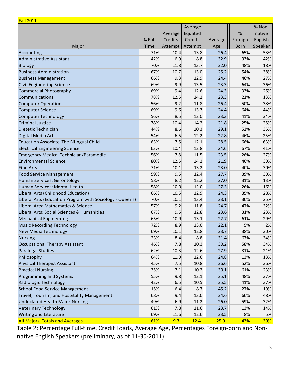| <b>Fall 2011</b>                                         |        |          |         |         |             |         |
|----------------------------------------------------------|--------|----------|---------|---------|-------------|---------|
|                                                          |        |          | Average |         |             | % Non-  |
|                                                          |        | Average  | Equated |         | %           | native  |
|                                                          | % Full | Credits  | Credits | Average | Foreign     | English |
| Major                                                    | Time   | Attempt  | Attempt | Age     | <b>Born</b> | Speaker |
| Accounting                                               | 71%    | 10.4     | 13.8    | 26.4    | 65%         | 53%     |
| <b>Administrative Assistant</b>                          | 42%    | 6.9      | 8.8     | 32.9    | 33%         | 42%     |
| <b>Biology</b>                                           | 70%    | 11.8     | 13.7    | 22.0    | 48%         | 18%     |
| <b>Business Administration</b>                           | 67%    | 10.7     | 13.0    | 25.2    | 54%         | 38%     |
| <b>Business Management</b>                               | 66%    | 9.3      | 12.9    | 24.4    | 46%         | 27%     |
| <b>Civil Engineering Science</b>                         | 69%    | 9.9      | 13.5    | 23.3    | 64%         | 36%     |
| <b>Commercial Photography</b>                            | 69%    | 9.4      | 12.6    | 24.3    | 33%         | 26%     |
| Communications                                           | 78%    | 12.5     | 14.2    | 23.3    | 21%         | 13%     |
| <b>Computer Operations</b>                               | 56%    | 9.2      | 11.8    | 26.4    | 50%         | 38%     |
| <b>Computer Science</b>                                  | 69%    | 9.6      | 13.3    | 24.4    | 64%         | 44%     |
| <b>Computer Technology</b>                               | 56%    | 8.5      | 12.0    | 23.3    | 41%         | 34%     |
| <b>Criminal Justice</b>                                  | 78%    | 10.4     | 14.2    | 21.8    | 25%         | 25%     |
| Dietetic Technician                                      | 44%    | 8.6      | 10.3    | 29.1    | 51%         | 35%     |
| Digital Media Arts                                       | 54%    | 6.5      | 12.2    | 22.8    | 46%         | 25%     |
| <b>Education Associate-The Bilingual Child</b>           | 63%    | 7.5      | 12.1    | 28.5    | 66%         | 63%     |
| <b>Electrical Engineering Science</b>                    | 63%    | 10.4     | 12.8    | 24.6    | 67%         | 41%     |
| <b>Emergency Medical Technician/Paramedic</b>            | 56%    | 7.8      | 11.5    | 23.5    | 26%         | 27%     |
| <b>Environmental Science</b>                             | 80%    | 12.5     | 14.2    | 21.9    | 40%         | 30%     |
| <b>Fine Arts</b>                                         | 71%    | 10.1     | 13.2    | 23.0    | 40%         | 30%     |
| <b>Food Service Management</b>                           | 59%    | 9.5      | 12.4    | 27.7    | 39%         | 30%     |
| Human Services: Gerontology                              | 58%    | 8.2      | 12.2    | 27.0    | 31%         | 13%     |
| Human Services: Mental Health                            | 58%    | 10.0     | 12.0    | 27.3    | 26%         | 16%     |
| Liberal Arts (Childhood Education)                       | 66%    | 10.5     | 12.9    | 24.3    | 35%         | 28%     |
| Liberal Arts (Education Program with Sociology - Queens) | 70%    | 10.1     | 13.4    | 23.1    | 30%         | 25%     |
| Liberal Arts: Mathematics & Science                      | 57%    | 9.2      | 11.8    | 24.7    | 47%         | 32%     |
| Liberal Arts: Social Sciences & Humanities               | 67%    | 9.5      | 12.8    | 23.6    | 31%         | 23%     |
| <b>Mechanical Engineering</b>                            | 65%    | 10.9     | 13.1    | 22.7    | 61%         | 29%     |
| <b>Music Recording Technology</b>                        | 72%    | 8.9      | 13.0    | 22.1    | 5%          | 2%      |
| New Media Technology                                     | 69%    | $10.1\,$ | 12.8    | 23.7    | 38%         | 30%     |
| <b>Nursing</b>                                           | 23%    | 8.4      | 8.8     | 31.4    | 67%         | 34%     |
| <b>Occupational Therapy Assistant</b>                    | 46%    | 7.8      | 10.3    | 30.2    | 58%         | 34%     |
| <b>Paralegal Studies</b>                                 | 62%    | 10.3     | 12.6    | 27.9    | 31%         | 21%     |
| Philosophy                                               | 64%    | 11.0     | 12.6    | 24.8    | 13%         | 13%     |
| <b>Physical Therapist Assistant</b>                      | 45%    | 7.5      | 10.8    | 26.6    | 52%         | 36%     |
| <b>Practical Nursing</b>                                 | 35%    | 7.1      | 10.2    | 30.1    | 61%         | 23%     |
| Programming and Systems                                  | 55%    | 9.8      | 12.1    | 25.1    | 48%         | 37%     |
| Radiologic Technology                                    | 42%    | 6.5      | 10.5    | 25.5    | 41%         | 37%     |
| <b>School Food Service Management</b>                    | 15%    | 6.4      | 8.7     | 45.2    | 27%         | 19%     |
| Travel, Tourism, and Hospitality Management              | 68%    | 9.4      | 13.0    | 24.6    | 66%         | 48%     |
| Undeclared Health Major-Nursing                          | 49%    | 6.9      | 11.2    | 26.0    | 59%         | 32%     |
| <b>Veterinary Technology</b>                             | 61%    | 7.8      | 11.6    | 23.7    | 13%         | 14%     |
| Writing and Literature                                   | 69%    | 11.6     | 12.6    | 23.5    | 8%          | 5%      |
| <b>All Majors, Totals and Averages</b>                   | 61%    | 9.3      | 12.4    | 25.0    | 43%         | 30%     |

 Table 2: Percentage Full‐time, Credit Loads, Average Age, Percentages Foreign‐born and Non‐ native English Speakers (preliminary, as of 11‐30‐2011)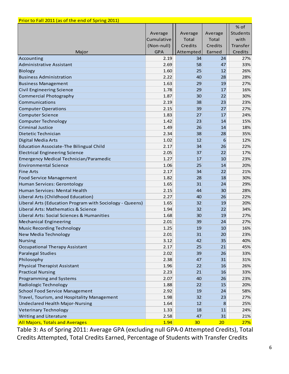| Prior to Fall 2011 (as of the end of Spring 2011)        |            |              |              |                 |
|----------------------------------------------------------|------------|--------------|--------------|-----------------|
|                                                          |            |              |              | % of            |
|                                                          | Average    | Average      | Average      | <b>Students</b> |
|                                                          | Cumulative | <b>Total</b> | <b>Total</b> | with            |
|                                                          | (Non-null) | Credits      | Credits      | Transfer        |
| Major                                                    | <b>GPA</b> | Attempted    | Earned       | Credits         |
| Accounting                                               | 2.19       | 34           | 24           | 27%             |
| <b>Administrative Assistant</b>                          | 2.69       | 58           | 47           | 33%             |
| Biology                                                  | 1.60       | 25           | 12           | 26%             |
| <b>Business Administration</b>                           | 2.22       | 40           | 28           | 28%             |
| <b>Business Management</b>                               | 1.63       | 29           | 19           | 27%             |
| <b>Civil Engineering Science</b>                         | 1.78       | 29           | 17           | 16%             |
| <b>Commercial Photography</b>                            | 1.87       | 30           | 22           | 30%             |
| Communications                                           | 2.19       | 38           | 23           | 23%             |
| <b>Computer Operations</b>                               | 2.15       | 39           | 27           | 27%             |
| <b>Computer Science</b>                                  | 1.83       | 27           | 17           | 24%             |
| <b>Computer Technology</b>                               | 1.42       | 23           | 14           | 15%             |
| <b>Criminal Justice</b>                                  | 1.49       | 26           | 14           | 18%             |
| Dietetic Technician                                      | 2.34       | 38           | 28           | 35%             |
| Digital Media Arts                                       | 1.02       | 12           | 6            | 12%             |
| <b>Education Associate-The Bilingual Child</b>           | 2.17       | 34           | 26           | 22%             |
| <b>Electrical Engineering Science</b>                    | 2.05       | 37           | 22           | 17%             |
| <b>Emergency Medical Technician/Paramedic</b>            | 1.27       | 17           | 10           | 23%             |
| <b>Environmental Science</b>                             | 1.06       | 25           | 14           | 20%             |
| <b>Fine Arts</b>                                         | 2.17       | 34           | 22           | 21%             |
| <b>Food Service Management</b>                           | 1.82       | 28           | 18           | 30%             |
| Human Services: Gerontology                              | 1.65       | 31           | 24           | 29%             |
| Human Services: Mental Health                            | 2.15       | 44           | 30           | 28%             |
| Liberal Arts (Childhood Education)                       | 2.27       | 40           | 26           | 22%             |
| Liberal Arts (Education Program with Sociology - Queens) | 1.65       | 32           | 19           | 20%             |
| Liberal Arts: Mathematics & Science                      | 1.94       | 32           | 22           | 34%             |
| Liberal Arts: Social Sciences & Humanities               | 1.68       | 30           | 19           | 27%             |
| <b>Mechanical Engineering</b>                            | 2.01       | 39           | 24           | 27%             |
| <b>Music Recording Technology</b>                        | 1.25       | 19           | 10           | 16%             |
| New Media Technology                                     | 2.01       | 31           | 20           | 23%             |
| <b>Nursing</b>                                           | 3.12       | 42           | 35           | 40%             |
| <b>Occupational Therapy Assistant</b>                    | 2.17       | 25           | 21           | 45%             |
| <b>Paralegal Studies</b>                                 | 2.02       | 39           | 26           | 33%             |
| Philosophy                                               | 2.38       | 47           | 31           | 31%             |
| <b>Physical Therapist Assistant</b>                      | 1.96       | 22           | 16           | 26%             |
| <b>Practical Nursing</b>                                 | 2.23       | 21           | 16           | 33%             |
| Programming and Systems                                  | 2.07       | 40           | 26           | 23%             |
| Radiologic Technology                                    | 1.88       | 22           | 15           | 20%             |
| <b>School Food Service Management</b>                    | 2.92       | 19           | 24           | 58%             |
| Travel, Tourism, and Hospitality Management              | 1.98       | 32           | 23           | 27%             |
| Undeclared Health Major-Nursing                          | 1.64       | 12           | 8            | 25%             |
| <b>Veterinary Technology</b>                             | 1.33       | 18           | 11           | 24%             |
| Writing and Literature                                   | 2.58       | 47           | 31           | 21%             |
| <b>All Majors, Totals and Averages</b>                   | 1.94       | 30           | 20           | 27%             |

 Table 3: As of Spring 2011: Average GPA (excluding null GPA‐0 Attempted Credits), Total Credits Attempted, Total Credits Earned, Percentage of Students with Transfer Credits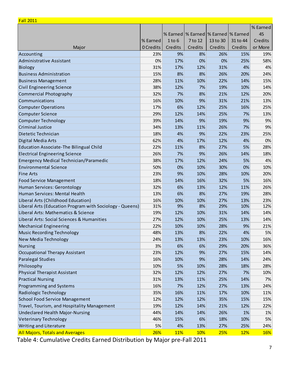| <b>Fall 2011</b>                                         |           |            |                                           |          |            |          |
|----------------------------------------------------------|-----------|------------|-------------------------------------------|----------|------------|----------|
|                                                          |           |            |                                           |          |            | % Earned |
|                                                          |           |            | % Earned   % Earned   % Earned   % Earned |          |            | 45       |
|                                                          | % Earned  | $1$ to $6$ | 7 to 12                                   | 13 to 30 | 31 to 44   | Credits  |
| Major                                                    | 0 Credits | Credits    | Credits                                   | Credits  | Credits    | or More  |
| Accounting                                               | 23%       | 9%         | 8%                                        | 26%      | 15%        | 19%      |
| <b>Administrative Assistant</b>                          | 0%        | 17%        | 0%                                        | 0%       | 25%        | 58%      |
| <b>Biology</b>                                           | 31%       | 17%        | 12%                                       | 31%      | 4%         | 4%       |
| <b>Business Administration</b>                           | 15%       | 8%         | 8%                                        | 26%      | 20%        | 24%      |
| <b>Business Management</b>                               | 28%       | 11%        | 10%                                       | 22%      | 14%        | 15%      |
| <b>Civil Engineering Science</b>                         | 38%       | 12%        | 7%                                        | 19%      | 10%        | 14%      |
| <b>Commercial Photography</b>                            | 32%       | 7%         | 8%                                        | 21%      | 12%        | 20%      |
| Communications                                           | 16%       | 10%        | 9%                                        | 31%      | 21%        | 13%      |
| <b>Computer Operations</b>                               | 17%       | 6%         | 12%                                       | 25%      | 16%        | 25%      |
| <b>Computer Science</b>                                  | 29%       | 12%        | 14%                                       | 25%      | 7%         | 13%      |
| <b>Computer Technology</b>                               | 39%       | 14%        | 9%                                        | 19%      | 9%         | 9%       |
| <b>Criminal Justice</b>                                  | 34%       | 13%        | 11%                                       | 26%      | 7%         | 9%       |
| Dietetic Technician                                      | 18%       | 4%         | 9%                                        | 22%      | 23%        | 25%      |
| Digital Media Arts                                       | 62%       | 4%         | 17%                                       | 12%      | 4%         | 0%       |
| <b>Education Associate-The Bilingual Child</b>           | 22%       | 11%        | 8%                                        | 27%      | 5%         | 28%      |
| <b>Electrical Engineering Science</b>                    | 26%       | 7%         | 9%                                        | 26%      | 14%        | 18%      |
| <b>Emergency Medical Technician/Paramedic</b>            | 38%       | 17%        | 12%                                       | 24%      | 5%         | 4%       |
| <b>Environmental Science</b>                             | 50%       | 0%         | 10%                                       | 30%      | 0%         | 10%      |
| <b>Fine Arts</b>                                         | 23%       | 9%         | 10%                                       | 28%      | 10%        | 20%      |
| <b>Food Service Management</b>                           | 18%       | 14%        | 16%                                       | 32%      | 5%         | 16%      |
| Human Services: Gerontology                              | 32%       | 6%         | 13%                                       | 12%      | 11%        | 26%      |
| Human Services: Mental Health                            | 13%       | 6%         | 8%                                        | 27%      | 19%        | 28%      |
| Liberal Arts (Childhood Education)                       | 16%       | 10%        | 10%                                       | 27%      | 13%        | 23%      |
| Liberal Arts (Education Program with Sociology - Queens) | 31%       | 9%         | 8%                                        | 29%      | 10%        | 12%      |
| Liberal Arts: Mathematics & Science                      | 19%       | 12%        | 10%                                       | 31%      | 14%        | 14%      |
| Liberal Arts: Social Sciences & Humanities               | 27%       | 12%        | 10%                                       | 25%      | 13%        | 14%      |
| <b>Mechanical Engineering</b>                            | 22%       | 10%        | 10%                                       | 28%      | 9%         | 21%      |
| <b>Music Recording Technology</b>                        | 48%       | 13%        | 8%                                        | 22%      | 4%         | 5%       |
| New Media Technology                                     | 24%       | 13%        | 13%                                       | 23%      | 10%        | 16%      |
| <b>Nursing</b>                                           | 3%        | 6%         | 6%                                        | 29%      | 20%        | 36%      |
| <b>Occupational Therapy Assistant</b>                    | 23%       | 12%        | 9%                                        | 27%      | 15%        | 14%      |
| <b>Paralegal Studies</b>                                 | 16%       | 10%        | 9%                                        | 28%      | 14%        | 24%      |
| Philosophy                                               | 10%       | 5%         | 10%                                       | 28%      | 18%        | 28%      |
| <b>Physical Therapist Assistant</b>                      | 32%       | 12%        | 12%                                       | 27%      | 7%         | 10%      |
| <b>Practical Nursing</b>                                 | 31%       | 13%        | 11%                                       | 25%      | 14%        | 7%       |
| Programming and Systems                                  | 16%       | 7%         | 12%                                       | 27%      | 13%        | 24%      |
| Radiologic Technology                                    | 35%       | 16%        | 11%                                       | 17%      | 10%        | 11%      |
| <b>School Food Service Management</b>                    | 12%       | 12%        | 12%                                       | 35%      | 15%        | 15%      |
| Travel, Tourism, and Hospitality Management              | 19%       | 12%        | 14%                                       | 21%      | 12%        | 22%      |
| <b>Undeclared Health Major-Nursing</b>                   | 44%       | 14%        | 14%                                       | 26%      | 1%         | 1%       |
| <b>Veterinary Technology</b>                             | 46%       | 15%        | 6%                                        | 18%      | 10%        | 5%       |
| Writing and Literature                                   | 5%        | 4%         | 13%                                       | 27%      | 25%        | 24%      |
| <b>All Majors, Totals and Averages</b>                   | 26%       | 11%        | 10%                                       | 25%      | <b>12%</b> | 16%      |

4: Cumulative Credits Earned Distribution by Major pre-Fall 2011 Table 4: Cumulative Credits Earned Distribution by Major pre‐Fall 2011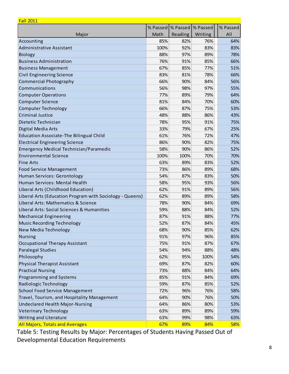| <b>Fall 2011</b>                                         |          |                     |         |          |
|----------------------------------------------------------|----------|---------------------|---------|----------|
|                                                          | % Passed | % Passed   % Passed |         | % Passed |
| Major                                                    | Math     | Reading             | Writing | All      |
| Accounting                                               | 85%      | 82%                 | 76%     | 64%      |
| <b>Administrative Assistant</b>                          | 100%     | 92%                 | 83%     | 83%      |
| <b>Biology</b>                                           | 88%      | 97%                 | 89%     | 78%      |
| <b>Business Administration</b>                           | 76%      | 91%                 | 85%     | 66%      |
| <b>Business Management</b>                               | 67%      | 85%                 | 77%     | 51%      |
| <b>Civil Engineering Science</b>                         | 83%      | 81%                 | 78%     | 66%      |
| <b>Commercial Photography</b>                            | 66%      | 90%                 | 84%     | 56%      |
| Communications                                           | 56%      | 98%                 | 97%     | 55%      |
| <b>Computer Operations</b>                               | 77%      | 89%                 | 79%     | 64%      |
| <b>Computer Science</b>                                  | 81%      | 84%                 | 70%     | 60%      |
| <b>Computer Technology</b>                               | 66%      | 87%                 | 75%     | 53%      |
| <b>Criminal Justice</b>                                  | 48%      | 88%                 | 86%     | 43%      |
| Dietetic Technician                                      | 78%      | 95%                 | 91%     | 75%      |
| Digital Media Arts                                       | 33%      | 79%                 | 67%     | 25%      |
| <b>Education Associate-The Bilingual Child</b>           | 61%      | 76%                 | 72%     | 47%      |
| <b>Electrical Engineering Science</b>                    | 86%      | 90%                 | 82%     | 75%      |
| <b>Emergency Medical Technician/Paramedic</b>            | 58%      | 90%                 | 86%     | 52%      |
| <b>Environmental Science</b>                             | 100%     | 100%                | 70%     | 70%      |
| <b>Fine Arts</b>                                         | 63%      | 89%                 | 83%     | 52%      |
| <b>Food Service Management</b>                           | 73%      | 86%                 | 89%     | 68%      |
| Human Services: Gerontology                              | 54%      | 87%                 | 83%     | 50%      |
| Human Services: Mental Health                            | 58%      | 95%                 | 93%     | 56%      |
| Liberal Arts (Childhood Education)                       | 62%      | 91%                 | 89%     | 56%      |
| Liberal Arts (Education Program with Sociology - Queens) | 62%      | 89%                 | 89%     | 58%      |
| Liberal Arts: Mathematics & Science                      | 78%      | 90%                 | 84%     | 69%      |
| Liberal Arts: Social Sciences & Humanities               | 59%      | 88%                 | 84%     | 52%      |
| <b>Mechanical Engineering</b>                            | 87%      | 91%                 | 88%     | 77%      |
| Music Recording Technology                               | 52%      | 87%                 | 84%     | 45%      |
| <b>New Media Technology</b>                              | 68%      | 90%                 | 85%     | 62%      |
| <b>Nursing</b>                                           | 91%      | 97%                 | 96%     | 85%      |
| <b>Occupational Therapy Assistant</b>                    | 75%      | 91%                 | 87%     | 67%      |
| <b>Paralegal Studies</b>                                 | 54%      | 94%                 | 88%     | 48%      |
| Philosophy                                               | 62%      | 95%                 | 100%    | 54%      |
| <b>Physical Therapist Assistant</b>                      | 69%      | 87%                 | 82%     | 60%      |
| <b>Practical Nursing</b>                                 | 73%      | 88%                 | 84%     | 64%      |
| Programming and Systems                                  | 85%      | 91%                 | 84%     | 69%      |
| Radiologic Technology                                    | 59%      | 87%                 | 85%     | 52%      |
| <b>School Food Service Management</b>                    | 72%      | 96%                 | 76%     | 58%      |
| Travel, Tourism, and Hospitality Management              | 64%      | 90%                 | 76%     | 50%      |
| <b>Undeclared Health Major-Nursing</b>                   | 64%      | 86%                 | 80%     | 53%      |
| <b>Veterinary Technology</b>                             | 63%      | 89%                 | 89%     | 59%      |
| Writing and Literature                                   | 63%      | 99%                 | 98%     | 63%      |
| <b>All Majors, Totals and Averages</b>                   | 67%      | 89%                 | 84%     | 58%      |

 Table 5: Testing Results by Major: Percentages of Students Having Passed Out of Developmental Education Requirements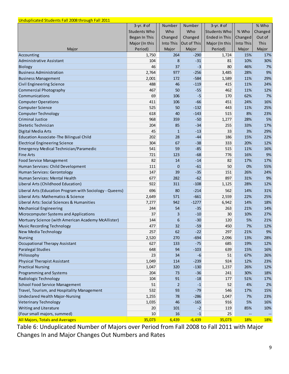| Unduplicated Students Fall 2008 through Fall 2011        |                     |                 |             |                     |            |         |
|----------------------------------------------------------|---------------------|-----------------|-------------|---------------------|------------|---------|
|                                                          | $3-yr.$ # of        | Number          | Number      | $3-yr.$ # of        |            | % Who   |
|                                                          | <b>Students Who</b> | Who             | Who         | <b>Students Who</b> | % Who      | Changed |
|                                                          | Began In This       | Changed         | Changed     | Ended in This       | Changed    | Out of  |
|                                                          | Major (In this      | Into This       | Out of This | Major (In this      | Into This  | This    |
| Major                                                    | Period)             | Major           | Major       | Period)             | Major      | Major   |
| Accounting                                               | 1,750               | 264             | $-290$      | 1,724               | 15%        | 17%     |
| Administrative Assistant                                 | 104                 | 8               | $-31$       | 81                  | 10%        | 30%     |
| <b>Biology</b>                                           | 46                  | 37              | $-3$        | 80                  | 46%        | 7%      |
| <b>Business Administration</b>                           | 2,764               | 977             | $-256$      | 3,485               | 28%        | 9%      |
| <b>Business Management</b>                               | 2,001               | 172             | $-584$      | 1,589               | 11%        | 29%     |
| <b>Civil Engineering Science</b>                         | 488                 | 46              | $-119$      | 415                 | 11%        | 24%     |
| <b>Commercial Photography</b>                            | 467                 | 50              | $-55$       | 462                 | 11%        | 12%     |
| Communications                                           | 69                  | 106             | $-5$        | 170                 | 62%        | 7%      |
| <b>Computer Operations</b>                               | 411                 | 106             | $-66$       | 451                 | 24%        | 16%     |
| <b>Computer Science</b>                                  | 525                 | 50              | $-132$      | 443                 | 11%        | 25%     |
| <b>Computer Technology</b>                               | 618                 | 40              | $-143$      | 515                 | 8%         | 23%     |
| <b>Criminal Justice</b>                                  | 968                 | 359             | $-50$       | 1,277               | 28%        | 5%      |
| Dietetic Technician                                      | 204                 | 85              | $-34$       | 255                 | 33%        | 17%     |
| Digital Media Arts                                       | 45                  | $\mathbf 1$     | $-13$       | 33                  | 3%         | 29%     |
| <b>Education Associate-The Bilingual Child</b>           | 202                 | 28              | $-44$       | 186                 | 15%        | 22%     |
| <b>Electrical Engineering Science</b>                    | 304                 | 67              | $-38$       | 333                 | 20%        | 12%     |
| Emergency Medical Technician/Paramedic                   | 541                 | 59              | $-85$       | 515                 | 11%        | 16%     |
| <b>Fine Arts</b>                                         | 721                 | 123             | $-68$       | 776                 | 16%        | 9%      |
| <b>Food Service Management</b>                           | 82                  | 14              | $-14$       | 82                  | 17%        | 17%     |
| Human Services: Child Development                        | 111                 | 0               | $-61$       | 50                  | 0%         | 55%     |
| Human Services: Gerontology                              | 147                 | 39              | $-35$       | 151                 | 26%        | 24%     |
| Human Services: Mental Health                            | 677                 | 282             | $-62$       | 897                 | 31%        | 9%      |
| Liberal Arts (Childhood Education)                       | 922                 | 311             | $-108$      | 1,125               | 28%        | 12%     |
| Liberal Arts (Education Program with Sociology - Queens) | 696                 | 80              | $-214$      | 562                 | 14%        | 31%     |
| Liberal Arts: Mathematics & Science                      | 2,649               | 571             | $-661$      | 2,559               | 22%        | 25%     |
| Liberal Arts: Social Sciences & Humanities               | 7,277               | 942             | $-1277$     | 6,942               | 14%        | 18%     |
| <b>Mechanical Engineering</b>                            | 244                 | 54              | $-35$       | 263                 | 21%        | 14%     |
| Microcomputer Systems and Applications                   | 37                  | $\overline{3}$  | $-10$       | 30                  | 10%        | 27%     |
| Mortuary Science (with American Academy McAllister)      | 144                 | $6 \overline{}$ | $-30$       | 120                 | 5%         | 21%     |
| Music Recording Technology                               | 477                 | 32              | $-59$       | 450                 | 7%         | 12%     |
| New Media Technology                                     | 257                 | 62              | $-22$       | 297                 | 21%        | 9%      |
| <b>Nursing</b>                                           | 2,520               | 270             | $-694$      | 2,096               | 13%        | 28%     |
| <b>Occupational Therapy Assistant</b>                    | 627                 | 133             | $-75$       | 685                 | 19%        | 12%     |
| <b>Paralegal Studies</b>                                 | 648                 | 94              | $-103$      | 639                 | 15%        | 16%     |
| Philosophy                                               | 23                  | 34              | $-6$        | 51                  | 67%        | 26%     |
| <b>Physical Therapist Assistant</b>                      | 1,049               | 114             | $-239$      | 924                 | 12%        | 23%     |
| <b>Practical Nursing</b>                                 | 1,047               | 320             | $-130$      | 1,237               | 26%        | 12%     |
| Programming and Systems                                  | 204                 | 73              | $-36$       | 241                 | 30%        | 18%     |
| Radiologic Technology                                    | 104                 | 91              | $-18$       | 177                 | 51%        | 17%     |
| <b>School Food Service Management</b>                    | 51                  | $\overline{2}$  | $-1$        | 52                  | 4%         | 2%      |
| Travel, Tourism, and Hospitality Management              | 532                 | 93              | $-79$       | 546                 | 17%        | 15%     |
| Undeclared Health Major-Nursing                          | 1,255               | 78              | $-286$      | 1,047               | 7%         | 23%     |
| <b>Veterinary Technology</b>                             | 1,035               | 46              | $-165$      | 916                 | 5%         | 16%     |
| Writing and Literature                                   | 20                  | 101             | $-2$        | 119                 | 85%        | 10%     |
| (Four small majors, summed)                              | 10                  | 16              | $-1$        | 25                  |            |         |
| <b>All Majors, Totals and Averages</b>                   | 35,073              | 6,439           | $-6,439$    | 35,073              | <b>18%</b> | 18%     |

 Table 6: Unduplicated Number of Majors over Period from Fall 2008 to Fall 2011 with Major Changes In and Major Changes Out Numbers and Rates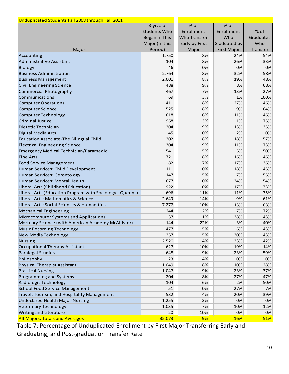| Unduplicated Students Fall 2008 through Fall 2011                 |                     |                     |                    |            |
|-------------------------------------------------------------------|---------------------|---------------------|--------------------|------------|
|                                                                   | $3-yr.$ # of        | $%$ of              | % of               |            |
|                                                                   | <b>Students Who</b> | Enrollment          | Enrollment         | $%$ of     |
|                                                                   | Began In This       | <b>Who Transfer</b> | Who                | Graduates  |
|                                                                   | Major (In this      | Early by First      | Graduated by       | Who        |
| Major                                                             | Period)             | Major               | <b>First Major</b> | Transfer   |
| Accounting                                                        | 1,750               | 8%                  | 24%                | 54%        |
| Administrative Assistant                                          | 104                 | 8%                  | 26%                | 33%        |
| Biology                                                           | 46                  | 0%                  | 0%                 | 0%         |
| <b>Business Administration</b>                                    | 2,764               | 8%                  | 32%                | 58%        |
| <b>Business Management</b>                                        | 2,001               | 8%                  | 19%                | 48%        |
| <b>Civil Engineering Science</b>                                  | 488                 | 9%                  | 8%                 | 68%        |
| <b>Commercial Photography</b>                                     | 467                 | 7%                  | 13%                | 27%        |
| Communications                                                    | 69                  | 3%                  | 1%                 | 100%       |
| <b>Computer Operations</b>                                        | 411                 | 8%                  | 27%                | 46%        |
| <b>Computer Science</b>                                           | 525                 | 8%                  | 9%                 | 64%        |
| <b>Computer Technology</b>                                        | 618                 | 6%                  | 11%                | 46%        |
| <b>Criminal Justice</b>                                           | 968                 | 3%                  | 1%                 | 75%        |
| Dietetic Technician                                               | 204                 | 9%                  | 13%                | 35%        |
| Digital Media Arts                                                | 45                  | 0%                  | 2%                 | 0%         |
| <b>Education Associate-The Bilingual Child</b>                    | 202                 | 8%                  | 18%                | 57%        |
| <b>Electrical Engineering Science</b>                             | 304                 | 9%                  | 11%                | 73%        |
| Emergency Medical Technician/Paramedic                            | 541                 | 5%                  | 5%                 | 50%        |
| <b>Fine Arts</b>                                                  | 721                 | 8%                  | 16%                | 46%        |
| <b>Food Service Management</b>                                    | 82                  | 7%                  | 17%                | 36%        |
| Human Services: Child Development                                 | 111                 | 10%                 | 18%                | 45%        |
| Human Services: Gerontology                                       | 147                 | 5%                  | 7%                 | 55%        |
| Human Services: Mental Health                                     | 677                 | 10%                 | 24%                | 54%        |
| Liberal Arts (Childhood Education)                                | 922                 | 10%                 | 17%                | 73%        |
| Liberal Arts (Education Program with Sociology - Queens)          | 696                 | 11%                 | 11%                | 75%        |
| Liberal Arts: Mathematics & Science                               | 2,649               | 14%                 | 9%                 | 61%        |
| Liberal Arts: Social Sciences & Humanities                        | 7,277               | 10%                 | 13%                | 63%        |
| <b>Mechanical Engineering</b>                                     | 244                 | 12%                 | 7%                 | 72%        |
| Microcomputer Systems and Applications                            | 37                  | 11%                 | 38%                | 43%        |
| Mortuary Science (with American Academy McAllister)               | 144                 | 22%                 | 3%                 | 40%        |
| <b>Music Recording Technology</b>                                 | 477                 | 5%                  | 6%                 | 43%        |
| New Media Technology                                              | 257                 | 5%                  | 20%                | 43%        |
|                                                                   |                     |                     |                    |            |
| <b>Nursing</b>                                                    | 2,520<br>627        | 14%<br>10%          | 23%<br>19%         | 42%<br>14% |
| <b>Occupational Therapy Assistant</b><br><b>Paralegal Studies</b> |                     | 9%                  |                    |            |
|                                                                   | 648<br>23           | 4%                  | 23%                | 59%        |
| Philosophy                                                        |                     |                     | 0%                 | 0%         |
| <b>Physical Therapist Assistant</b>                               | 1,049               | 8%                  | 10%                | 28%        |
| <b>Practical Nursing</b>                                          | 1,047               | 9%                  | 23%                | 37%        |
| <b>Programming and Systems</b>                                    | 204                 | 8%                  | 27%                | 47%        |
| Radiologic Technology                                             | 104                 | 6%                  | 2%                 | 50%        |
| <b>School Food Service Management</b>                             | 51                  | 0%                  | 27%                | 7%         |
| Travel, Tourism, and Hospitality Management                       | 532                 | 4%                  | 20%                | 39%        |
| Undeclared Health Major-Nursing                                   | 1,255               | 3%                  | 0%                 | 0%         |
| <b>Veterinary Technology</b>                                      | 1,035               | 7%                  | 10%                | 12%        |
| Writing and Literature                                            | 20                  | 10%                 | 0%                 | 0%         |
| <b>All Majors, Totals and Averages</b>                            | 35,073              | 9%                  | <b>16%</b>         | 51%        |

7: Percentage of Unduplicated Enrollment by First Major Transferring Early and and Post-graduation Transfer Table 7: Percentage of Unduplicated Enrollment by First Major Transferring Early and Graduating, and Post‐graduation Transfer Rate